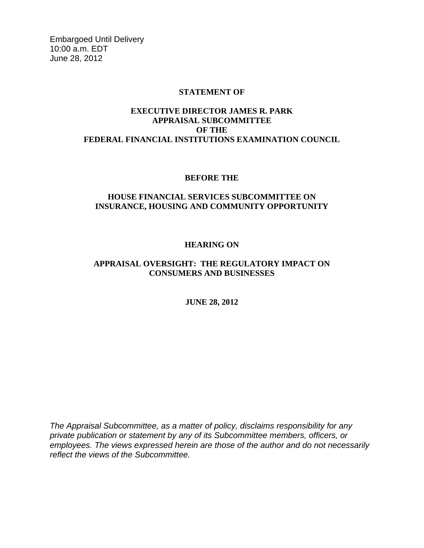Embargoed Until Delivery 10:00 a.m. EDT June 28, 2012

## **STATEMENT OF**

# **EXECUTIVE DIRECTOR JAMES R. PARK APPRAISAL SUBCOMMITTEE OF THE FEDERAL FINANCIAL INSTITUTIONS EXAMINATION COUNCIL**

### **BEFORE THE**

# **HOUSE FINANCIAL SERVICES SUBCOMMITTEE ON INSURANCE, HOUSING AND COMMUNITY OPPORTUNITY**

# **HEARING ON**

# **APPRAISAL OVERSIGHT: THE REGULATORY IMPACT ON CONSUMERS AND BUSINESSES**

## **JUNE 28, 2012**

*The Appraisal Subcommittee, as a matter of policy, disclaims responsibility for any private publication or statement by any of its Subcommittee members, officers, or employees. The views expressed herein are those of the author and do not necessarily reflect the views of the Subcommittee.*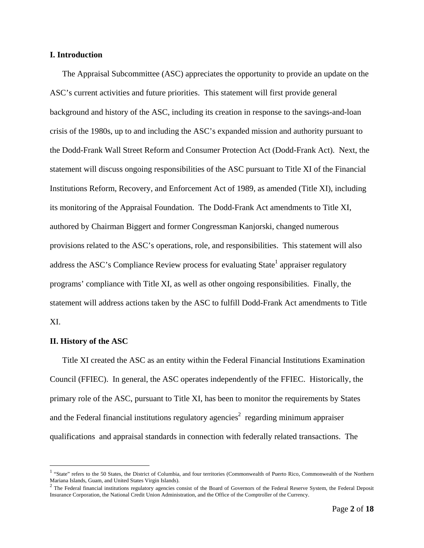#### **I. Introduction**

 The Appraisal Subcommittee (ASC) appreciates the opportunity to provide an update on the ASC's current activities and future priorities. This statement will first provide general background and history of the ASC, including its creation in response to the savings-and-loan crisis of the 1980s, up to and including the ASC's expanded mission and authority pursuant to the Dodd-Frank Wall Street Reform and Consumer Protection Act (Dodd-Frank Act). Next, the statement will discuss ongoing responsibilities of the ASC pursuant to Title XI of the Financial Institutions Reform, Recovery, and Enforcement Act of 1989, as amended (Title XI), including its monitoring of the Appraisal Foundation. The Dodd-Frank Act amendments to Title XI, authored by Chairman Biggert and former Congressman Kanjorski, changed numerous provisions related to the ASC's operations, role, and responsibilities. This statement will also address the ASC's Compliance Review process for evaluating State<sup>1</sup> appraiser regulatory programs' compliance with Title XI, as well as other ongoing responsibilities. Finally, the statement will address actions taken by the ASC to fulfill Dodd-Frank Act amendments to Title XI.

#### **II. History of the ASC**

 $\overline{a}$ 

 Title XI created the ASC as an entity within the Federal Financial Institutions Examination Council (FFIEC). In general, the ASC operates independently of the FFIEC. Historically, the primary role of the ASC, pursuant to Title XI, has been to monitor the requirements by States and the Federal financial institutions regulatory agencies<sup>2</sup> regarding minimum appraiser qualifications and appraisal standards in connection with federally related transactions. The

<sup>&</sup>lt;sup>1</sup> "State" refers to the 50 States, the District of Columbia, and four territories (Commonwealth of Puerto Rico, Commonwealth of the Northern Mariana Islands, Guam, and United States Virgin Islands).<br><sup>2</sup> The Federal financial institutions regulatory agencies consist of the Board of Governors of the Federal Reserve System, the Federal Deposit

Insurance Corporation, the National Credit Union Administration, and the Office of the Comptroller of the Currency.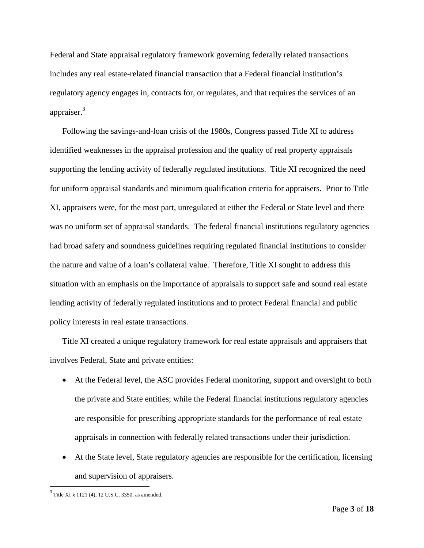Federal and State appraisal regulatory framework governing federally related transactions includes any real estate-related financial transaction that a Federal financial institution's regulatory agency engages in, contracts for, or regulates, and that requires the services of an appraiser.<sup>3</sup>

 Following the savings-and-loan crisis of the 1980s, Congress passed Title XI to address identified weaknesses in the appraisal profession and the quality of real property appraisals supporting the lending activity of federally regulated institutions. Title XI recognized the need for uniform appraisal standards and minimum qualification criteria for appraisers. Prior to Title XI, appraisers were, for the most part, unregulated at either the Federal or State level and there was no uniform set of appraisal standards. The federal financial institutions regulatory agencies had broad safety and soundness guidelines requiring regulated financial institutions to consider the nature and value of a loan's collateral value. Therefore, Title XI sought to address this situation with an emphasis on the importance of appraisals to support safe and sound real estate lending activity of federally regulated institutions and to protect Federal financial and public policy interests in real estate transactions.

 Title XI created a unique regulatory framework for real estate appraisals and appraisers that involves Federal, State and private entities:

- At the Federal level, the ASC provides Federal monitoring, support and oversight to both the private and State entities; while the Federal financial institutions regulatory agencies are responsible for prescribing appropriate standards for the performance of real estate appraisals in connection with federally related transactions under their jurisdiction.
- At the State level, State regulatory agencies are responsible for the certification, licensing and supervision of appraisers.

 $3$  Title XI § 1121 (4), 12 U.S.C. 3350, as amended.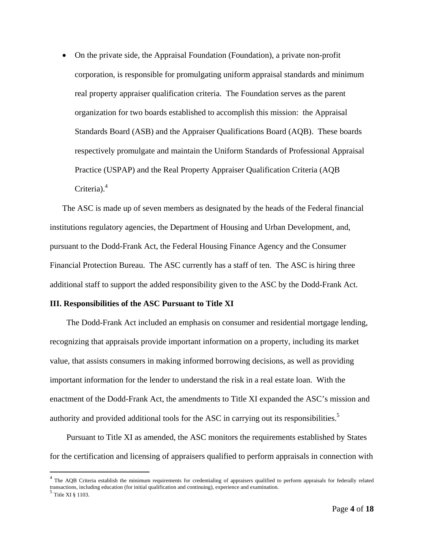On the private side, the Appraisal Foundation (Foundation), a private non-profit corporation, is responsible for promulgating uniform appraisal standards and minimum real property appraiser qualification criteria. The Foundation serves as the parent organization for two boards established to accomplish this mission: the Appraisal Standards Board (ASB) and the Appraiser Qualifications Board (AQB). These boards respectively promulgate and maintain the Uniform Standards of Professional Appraisal Practice (USPAP) and the Real Property Appraiser Qualification Criteria (AQB Criteria).<sup>4</sup>

 The ASC is made up of seven members as designated by the heads of the Federal financial institutions regulatory agencies, the Department of Housing and Urban Development, and, pursuant to the Dodd-Frank Act, the Federal Housing Finance Agency and the Consumer Financial Protection Bureau. The ASC currently has a staff of ten. The ASC is hiring three additional staff to support the added responsibility given to the ASC by the Dodd-Frank Act.

#### **III. Responsibilities of the ASC Pursuant to Title XI**

 The Dodd-Frank Act included an emphasis on consumer and residential mortgage lending, recognizing that appraisals provide important information on a property, including its market value, that assists consumers in making informed borrowing decisions, as well as providing important information for the lender to understand the risk in a real estate loan. With the enactment of the Dodd-Frank Act, the amendments to Title XI expanded the ASC's mission and authority and provided additional tools for the ASC in carrying out its responsibilities.<sup>5</sup>

 Pursuant to Title XI as amended, the ASC monitors the requirements established by States for the certification and licensing of appraisers qualified to perform appraisals in connection with

1

 $4$  The AQB Criteria establish the minimum requirements for credentialing of appraisers qualified to perform appraisals for federally related transactions, including education (for initial qualification and continuing), experience and examination. 5 Title XI § 1103.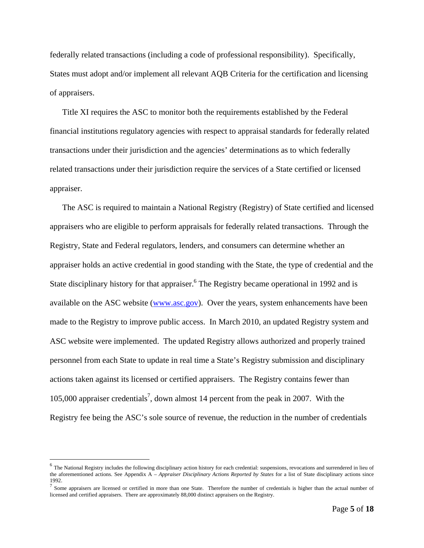federally related transactions (including a code of professional responsibility). Specifically, States must adopt and/or implement all relevant AQB Criteria for the certification and licensing of appraisers.

 Title XI requires the ASC to monitor both the requirements established by the Federal financial institutions regulatory agencies with respect to appraisal standards for federally related transactions under their jurisdiction and the agencies' determinations as to which federally related transactions under their jurisdiction require the services of a State certified or licensed appraiser.

 The ASC is required to maintain a National Registry (Registry) of State certified and licensed appraisers who are eligible to perform appraisals for federally related transactions. Through the Registry, State and Federal regulators, lenders, and consumers can determine whether an appraiser holds an active credential in good standing with the State, the type of credential and the State disciplinary history for that appraiser.<sup>6</sup> The Registry became operational in 1992 and is available on the ASC website (www.asc.gov). Over the years, system enhancements have been made to the Registry to improve public access. In March 2010, an updated Registry system and ASC website were implemented. The updated Registry allows authorized and properly trained personnel from each State to update in real time a State's Registry submission and disciplinary actions taken against its licensed or certified appraisers. The Registry contains fewer than 105,000 appraiser credentials<sup>7</sup>, down almost 14 percent from the peak in 2007. With the Registry fee being the ASC's sole source of revenue, the reduction in the number of credentials

 $<sup>6</sup>$  The National Registry includes the following disciplinary action history for each credential: suspensions, revocations and surrendered in lieu of</sup> the aforementioned actions. See Appendix A – *Appraiser Disciplinary Actions Reported by States* for a list of State disciplinary actions since 1992.

 $^7$  Some appraisers are licensed or certified in more than one State. Therefore the number of credentials is higher than the actual number of licensed and certified appraisers. There are approximately 88,000 distinct appraisers on the Registry.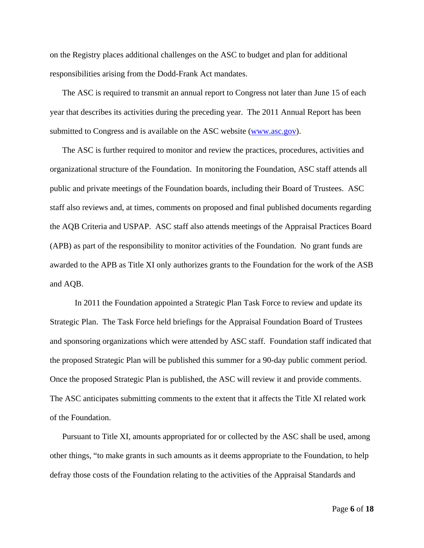on the Registry places additional challenges on the ASC to budget and plan for additional responsibilities arising from the Dodd-Frank Act mandates.

 The ASC is required to transmit an annual report to Congress not later than June 15 of each year that describes its activities during the preceding year. The 2011 Annual Report has been submitted to Congress and is available on the ASC website (www.asc.gov).

 The ASC is further required to monitor and review the practices, procedures, activities and organizational structure of the Foundation. In monitoring the Foundation, ASC staff attends all public and private meetings of the Foundation boards, including their Board of Trustees. ASC staff also reviews and, at times, comments on proposed and final published documents regarding the AQB Criteria and USPAP. ASC staff also attends meetings of the Appraisal Practices Board (APB) as part of the responsibility to monitor activities of the Foundation. No grant funds are awarded to the APB as Title XI only authorizes grants to the Foundation for the work of the ASB and AQB.

In 2011 the Foundation appointed a Strategic Plan Task Force to review and update its Strategic Plan. The Task Force held briefings for the Appraisal Foundation Board of Trustees and sponsoring organizations which were attended by ASC staff. Foundation staff indicated that the proposed Strategic Plan will be published this summer for a 90-day public comment period. Once the proposed Strategic Plan is published, the ASC will review it and provide comments. The ASC anticipates submitting comments to the extent that it affects the Title XI related work of the Foundation.

 Pursuant to Title XI, amounts appropriated for or collected by the ASC shall be used, among other things, "to make grants in such amounts as it deems appropriate to the Foundation, to help defray those costs of the Foundation relating to the activities of the Appraisal Standards and

Page **6** of **18**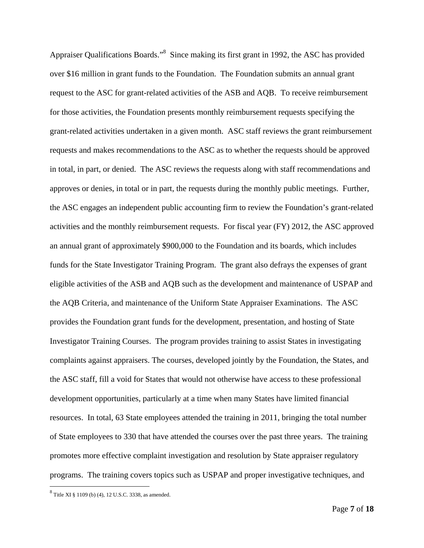Appraiser Qualifications Boards."<sup>8</sup> Since making its first grant in 1992, the ASC has provided over \$16 million in grant funds to the Foundation. The Foundation submits an annual grant request to the ASC for grant-related activities of the ASB and AQB. To receive reimbursement for those activities, the Foundation presents monthly reimbursement requests specifying the grant-related activities undertaken in a given month. ASC staff reviews the grant reimbursement requests and makes recommendations to the ASC as to whether the requests should be approved in total, in part, or denied. The ASC reviews the requests along with staff recommendations and approves or denies, in total or in part, the requests during the monthly public meetings. Further, the ASC engages an independent public accounting firm to review the Foundation's grant-related activities and the monthly reimbursement requests. For fiscal year (FY) 2012, the ASC approved an annual grant of approximately \$900,000 to the Foundation and its boards, which includes funds for the State Investigator Training Program. The grant also defrays the expenses of grant eligible activities of the ASB and AQB such as the development and maintenance of USPAP and the AQB Criteria, and maintenance of the Uniform State Appraiser Examinations. The ASC provides the Foundation grant funds for the development, presentation, and hosting of State Investigator Training Courses. The program provides training to assist States in investigating complaints against appraisers. The courses, developed jointly by the Foundation, the States, and the ASC staff, fill a void for States that would not otherwise have access to these professional development opportunities, particularly at a time when many States have limited financial resources. In total, 63 State employees attended the training in 2011, bringing the total number of State employees to 330 that have attended the courses over the past three years. The training promotes more effective complaint investigation and resolution by State appraiser regulatory programs. The training covers topics such as USPAP and proper investigative techniques, and

 $8^8$  Title XI § 1109 (b) (4), 12 U.S.C. 3338, as amended.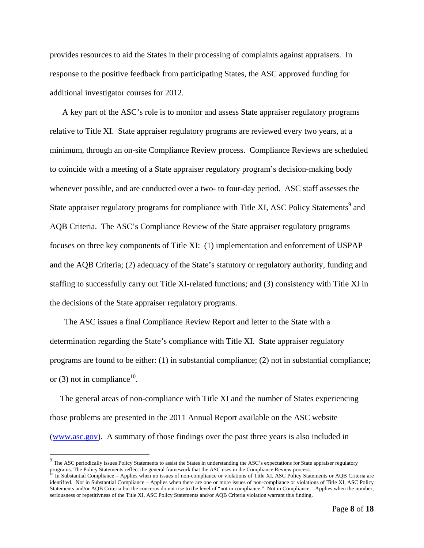provides resources to aid the States in their processing of complaints against appraisers. In response to the positive feedback from participating States, the ASC approved funding for additional investigator courses for 2012.

 A key part of the ASC's role is to monitor and assess State appraiser regulatory programs relative to Title XI. State appraiser regulatory programs are reviewed every two years, at a minimum, through an on-site Compliance Review process. Compliance Reviews are scheduled to coincide with a meeting of a State appraiser regulatory program's decision-making body whenever possible, and are conducted over a two- to four-day period. ASC staff assesses the State appraiser regulatory programs for compliance with Title XI, ASC Policy Statements<sup>9</sup> and AQB Criteria. The ASC's Compliance Review of the State appraiser regulatory programs focuses on three key components of Title XI: (1) implementation and enforcement of USPAP and the AQB Criteria; (2) adequacy of the State's statutory or regulatory authority, funding and staffing to successfully carry out Title XI-related functions; and (3) consistency with Title XI in the decisions of the State appraiser regulatory programs.

 The ASC issues a final Compliance Review Report and letter to the State with a determination regarding the State's compliance with Title XI. State appraiser regulatory programs are found to be either: (1) in substantial compliance; (2) not in substantial compliance; or (3) not in compliance<sup>10</sup>.

 The general areas of non-compliance with Title XI and the number of States experiencing those problems are presented in the 2011 Annual Report available on the ASC website (www.asc.gov). A summary of those findings over the past three years is also included in

<sup>&</sup>lt;sup>9</sup> The ASC periodically issues Policy Statements to assist the States in understanding the ASC's expectations for State appraiser regulatory programs. The Policy Statements reflect the general framework that the ASC uses in the Compliance Review process.<br><sup>10</sup> In Substantial Compliance – Applies when no issues of non-compliance or violations of Title XI, ASC Pol

identified. Not in Substantial Compliance – Applies when there are one or more issues of non-compliance or violations of Title XI, ASC Policy Statements and/or AQB Criteria but the concerns do not rise to the level of "not in compliance." Not in Compliance – Applies when the number, seriousness or repetitivness of the Title XI, ASC Policy Statements and/or AQB Criteria violation warrant this finding.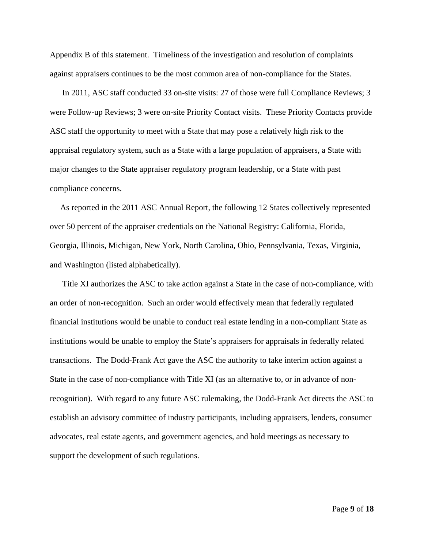Appendix B of this statement. Timeliness of the investigation and resolution of complaints against appraisers continues to be the most common area of non-compliance for the States.

 In 2011, ASC staff conducted 33 on-site visits: 27 of those were full Compliance Reviews; 3 were Follow-up Reviews; 3 were on-site Priority Contact visits. These Priority Contacts provide ASC staff the opportunity to meet with a State that may pose a relatively high risk to the appraisal regulatory system, such as a State with a large population of appraisers, a State with major changes to the State appraiser regulatory program leadership, or a State with past compliance concerns.

 As reported in the 2011 ASC Annual Report, the following 12 States collectively represented over 50 percent of the appraiser credentials on the National Registry: California, Florida, Georgia, Illinois, Michigan, New York, North Carolina, Ohio, Pennsylvania, Texas, Virginia, and Washington (listed alphabetically).

 Title XI authorizes the ASC to take action against a State in the case of non-compliance, with an order of non-recognition. Such an order would effectively mean that federally regulated financial institutions would be unable to conduct real estate lending in a non-compliant State as institutions would be unable to employ the State's appraisers for appraisals in federally related transactions. The Dodd-Frank Act gave the ASC the authority to take interim action against a State in the case of non-compliance with Title XI (as an alternative to, or in advance of nonrecognition). With regard to any future ASC rulemaking, the Dodd-Frank Act directs the ASC to establish an advisory committee of industry participants, including appraisers, lenders, consumer advocates, real estate agents, and government agencies, and hold meetings as necessary to support the development of such regulations.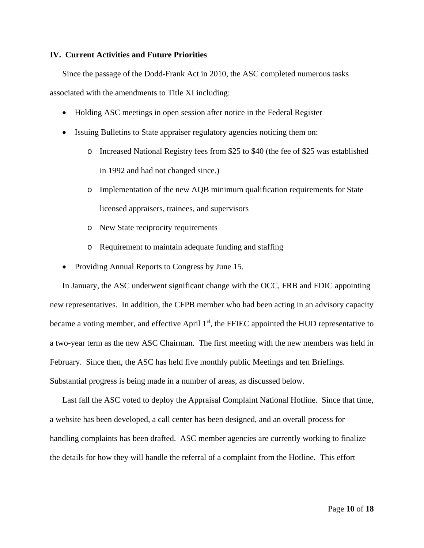#### **IV. Current Activities and Future Priorities**

 Since the passage of the Dodd-Frank Act in 2010, the ASC completed numerous tasks associated with the amendments to Title XI including:

- Holding ASC meetings in open session after notice in the Federal Register
- Issuing Bulletins to State appraiser regulatory agencies noticing them on:
	- o Increased National Registry fees from \$25 to \$40 (the fee of \$25 was established in 1992 and had not changed since.)
	- o Implementation of the new AQB minimum qualification requirements for State licensed appraisers, trainees, and supervisors
	- o New State reciprocity requirements
	- o Requirement to maintain adequate funding and staffing
- Providing Annual Reports to Congress by June 15.

 In January, the ASC underwent significant change with the OCC, FRB and FDIC appointing new representatives. In addition, the CFPB member who had been acting in an advisory capacity became a voting member, and effective April  $1<sup>st</sup>$ , the FFIEC appointed the HUD representative to a two-year term as the new ASC Chairman. The first meeting with the new members was held in February. Since then, the ASC has held five monthly public Meetings and ten Briefings. Substantial progress is being made in a number of areas, as discussed below.

 Last fall the ASC voted to deploy the Appraisal Complaint National Hotline. Since that time, a website has been developed, a call center has been designed, and an overall process for handling complaints has been drafted. ASC member agencies are currently working to finalize the details for how they will handle the referral of a complaint from the Hotline. This effort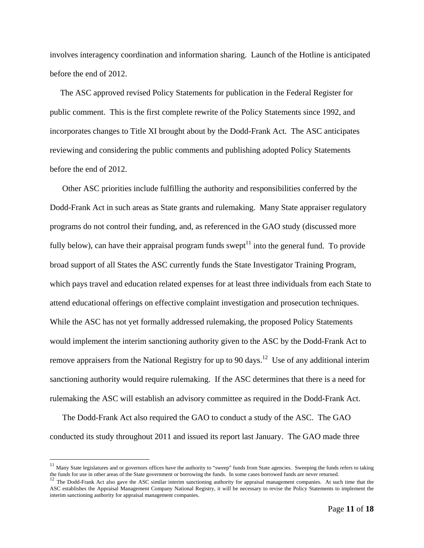involves interagency coordination and information sharing. Launch of the Hotline is anticipated before the end of 2012.

 The ASC approved revised Policy Statements for publication in the Federal Register for public comment. This is the first complete rewrite of the Policy Statements since 1992, and incorporates changes to Title XI brought about by the Dodd-Frank Act. The ASC anticipates reviewing and considering the public comments and publishing adopted Policy Statements before the end of 2012.

 Other ASC priorities include fulfilling the authority and responsibilities conferred by the Dodd-Frank Act in such areas as State grants and rulemaking. Many State appraiser regulatory programs do not control their funding, and, as referenced in the GAO study (discussed more fully below), can have their appraisal program funds swept<sup>11</sup> into the general fund. To provide broad support of all States the ASC currently funds the State Investigator Training Program, which pays travel and education related expenses for at least three individuals from each State to attend educational offerings on effective complaint investigation and prosecution techniques. While the ASC has not yet formally addressed rulemaking, the proposed Policy Statements would implement the interim sanctioning authority given to the ASC by the Dodd-Frank Act to remove appraisers from the National Registry for up to 90 days.<sup>12</sup> Use of any additional interim sanctioning authority would require rulemaking. If the ASC determines that there is a need for rulemaking the ASC will establish an advisory committee as required in the Dodd-Frank Act.

 The Dodd-Frank Act also required the GAO to conduct a study of the ASC. The GAO conducted its study throughout 2011 and issued its report last January. The GAO made three

<sup>&</sup>lt;sup>11</sup> Many State legislatures and or governors offices have the authority to "sweep" funds from State agencies. Sweeping the funds refers to taking the funds for use in other areas of the State government or borrowing the funds. In some cases borrowed funds are never returned.<br><sup>12</sup> The Dodd-Frank Act also gave the ASC similar interim sanctioning authority for appraisa

ASC establishes the Appraisal Management Company National Registry, it will be necessary to revise the Policy Statements to implement the interim sanctioning authority for appraisal management companies.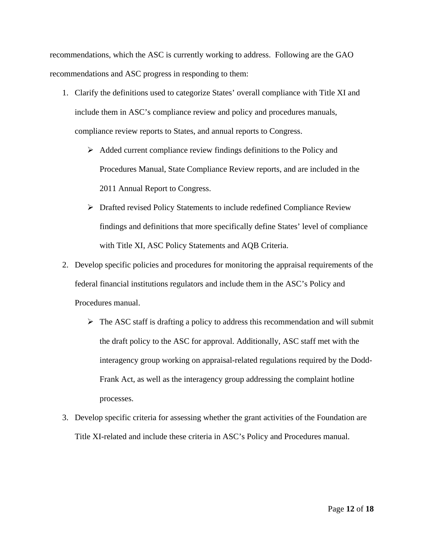recommendations, which the ASC is currently working to address. Following are the GAO recommendations and ASC progress in responding to them:

- 1. Clarify the definitions used to categorize States' overall compliance with Title XI and include them in ASC's compliance review and policy and procedures manuals, compliance review reports to States, and annual reports to Congress.
	- $\triangleright$  Added current compliance review findings definitions to the Policy and Procedures Manual, State Compliance Review reports, and are included in the 2011 Annual Report to Congress.
	- Drafted revised Policy Statements to include redefined Compliance Review findings and definitions that more specifically define States' level of compliance with Title XI, ASC Policy Statements and AQB Criteria.
- 2. Develop specific policies and procedures for monitoring the appraisal requirements of the federal financial institutions regulators and include them in the ASC's Policy and Procedures manual.
	- $\triangleright$  The ASC staff is drafting a policy to address this recommendation and will submit the draft policy to the ASC for approval. Additionally, ASC staff met with the interagency group working on appraisal-related regulations required by the Dodd-Frank Act, as well as the interagency group addressing the complaint hotline processes.
- 3. Develop specific criteria for assessing whether the grant activities of the Foundation are Title XI-related and include these criteria in ASC's Policy and Procedures manual.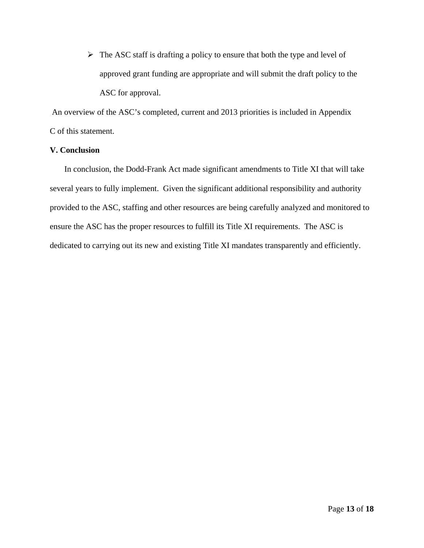$\triangleright$  The ASC staff is drafting a policy to ensure that both the type and level of approved grant funding are appropriate and will submit the draft policy to the ASC for approval.

 An overview of the ASC's completed, current and 2013 priorities is included in Appendix C of this statement.

## **V. Conclusion**

 In conclusion, the Dodd-Frank Act made significant amendments to Title XI that will take several years to fully implement. Given the significant additional responsibility and authority provided to the ASC, staffing and other resources are being carefully analyzed and monitored to ensure the ASC has the proper resources to fulfill its Title XI requirements. The ASC is dedicated to carrying out its new and existing Title XI mandates transparently and efficiently.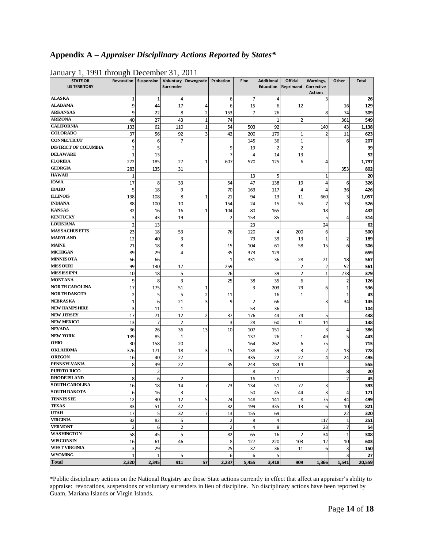# **Appendix A –** *Appraiser Disciplinary Actions Reported by States\**

| $-$ , $-$ , $      -$<br><b>STATE OR</b><br><b>US TERRITORY</b> |                       | Revocation   Suspension   Voluntary   Downgrade   Probation | .<br>Surrender  |                         |                | <b>Fine</b>         | <b>Additional</b> | <b>Official</b><br>Education   Reprimand | Warnings,<br>Corrective<br><b>Actions</b> | Other                   | <b>Total</b> |
|-----------------------------------------------------------------|-----------------------|-------------------------------------------------------------|-----------------|-------------------------|----------------|---------------------|-------------------|------------------------------------------|-------------------------------------------|-------------------------|--------------|
| <b>ALASKA</b>                                                   | 1                     | 1                                                           | 4               |                         | 6              | 7                   | 4                 |                                          | 3                                         |                         | 26           |
| <b>ALABAMA</b>                                                  | 9                     | 44                                                          | 17              | 4                       | 6              | 15                  | 6                 | 12                                       |                                           | 16                      | 129          |
| <b>ARKANSAS</b>                                                 | 9                     | 22                                                          | 8               | 2                       | 153            | $\overline{7}$      | 26                |                                          | 8                                         | 74                      | 309          |
| <b>ARIZONA</b>                                                  | 40                    | 27                                                          | 43              | $\mathbf{1}$            | 74             |                     | $\mathbf{1}$      | $\overline{2}$                           |                                           | 361                     | 549          |
| <b>CALIFORNIA</b>                                               | 133                   | 62                                                          | 110             | $\mathbf{1}$            | 54             | 503                 | 92                |                                          | 140                                       | 43                      | 1,138        |
| <b>COLORADO</b>                                                 | 37                    | 56                                                          | 92              | 3                       | 42             | 200                 | 179               |                                          |                                           | 11                      | 623          |
| <b>CONNECTICUT</b>                                              | 6                     | 6                                                           | $\overline{7}$  |                         |                | 145                 | 36                | $\mathbf{1}$                             |                                           | 6                       | 207          |
| <b>DISTRICT OF COLUMBIA</b>                                     | $\overline{2}$        | 5                                                           |                 |                         | 9              | 19                  | $\overline{2}$    | $\overline{2}$                           |                                           |                         | 39           |
| <b>DELAWARE</b>                                                 | $\mathbf{1}$          | 13                                                          |                 |                         | 7              | $\overline{a}$      | 14                | 13                                       |                                           |                         | 52           |
| <b>FLORIDA</b>                                                  | 272                   | 185                                                         | 27              | 1                       | 607            | 570                 | 125               | $6 \mid$                                 | 4                                         |                         | 1,797        |
| <b>GEORGIA</b>                                                  | 283                   | 135                                                         | 31              |                         |                |                     |                   |                                          |                                           | 353                     | 802          |
| HAWAII                                                          | $\mathbf{1}$          |                                                             |                 |                         |                | 13                  | 5                 |                                          | 1                                         |                         | 20           |
| <b>IOWA</b>                                                     | 17                    | 8                                                           | 33              |                         | 54             | 47                  | 138               | 19                                       | 4                                         | 6                       | 326          |
| <b>IDAHO</b>                                                    | 5                     | 18                                                          | $\overline{9}$  |                         | 70             | 163                 | 117               | $\overline{4}$                           | 4                                         | 36                      | 426          |
| <b>ILLINOIS</b>                                                 | 138                   | 108                                                         | 8               | $\mathbf{1}$            | 21             | 94                  | 13                | 11                                       | 660                                       | 3                       | 1,057        |
| <b>INDIANA</b>                                                  | 88                    | 100                                                         | 10              |                         | 154            | 24                  | 15                | 55                                       | $\overline{7}$                            | 73                      | 526          |
| <b>KANSAS</b>                                                   | 32                    | 16                                                          | 16              | 1                       | 104            | 80                  | 165               |                                          | 18                                        |                         | 432          |
| <b>KENTUCKY</b>                                                 | 3                     | 43                                                          | 19              |                         | $\overline{2}$ | 153                 | 85                |                                          | 5                                         | $\overline{4}$          | 314          |
| <b>LOUISIANA</b>                                                | $\overline{2}$        | 13                                                          |                 |                         |                | 23                  |                   |                                          | 24                                        |                         | 62           |
| <b>MASSACHUSETTS</b>                                            | 23                    | 18                                                          | 53              |                         | 76             | 120                 | 4                 | 200                                      | 6                                         |                         | 500          |
| <b>MARYLAND</b>                                                 | 12                    | 40                                                          | 3               |                         |                | 79                  | 39                | 13                                       | $\mathbf{1}$                              | $\overline{2}$          | 189          |
| <b>MAINE</b>                                                    | 21                    | 18                                                          | 8               |                         | 15             | 104                 | 61                | 58                                       | 15                                        | 6                       | 306          |
| <b>MICHIGAN</b>                                                 | 89                    | 29                                                          | $\vert 4 \vert$ |                         | 35             | 373                 | 129               |                                          |                                           |                         | 659          |
| <b>MINNESOTA</b>                                                | 66                    | 66                                                          |                 |                         | 1              | 331                 | 36                | 28                                       | 21                                        | 18                      | 567          |
| <b>MISSOURI</b>                                                 | 99                    | 130                                                         | 17              |                         | 259            |                     |                   | 2                                        | $\overline{2}$                            | 52                      | 561          |
| MISSISSIPPI                                                     | 10                    | 18                                                          | $\mathsf{S}$    |                         | 26             |                     | 39                | $\overline{2}$                           | $\mathbf{1}$                              | 278                     | 379          |
| <b>MONTANA</b>                                                  | 9                     | 8                                                           | 3               |                         | 25             | 38                  | 35                | $6 \overline{6}$                         |                                           | $\overline{2}$          | 126          |
| <b>NORTH CAROLINA</b>                                           | 17                    | 175                                                         | 51              | 1                       |                | 3                   | 203               | 79                                       | 6                                         | $\mathbf{1}$            | 536          |
| <b>NORTH DAKOTA</b>                                             | $\overline{2}$        | 5                                                           | $\mathsf{S}$    | 2                       | 11             |                     | 16                | $\mathbf{1}$                             |                                           | $1\overline{ }$         | 43           |
| <b>NEBRASKA</b>                                                 | $\mathbf{1}$          | 6                                                           | 21              | $\overline{\mathbf{3}}$ | 9              | $\overline{2}$      | 66                |                                          | 3                                         | 34                      | 145          |
| <b>NEW HAMPSHIRE</b>                                            | 3                     | 11                                                          | $1\overline{ }$ |                         |                | 53                  | 36                |                                          |                                           |                         | 104          |
| <b>NEW JERSEY</b>                                               | 17                    | 71                                                          | 12              | 2                       | 37             | 176                 | 44                | 74                                       | 5                                         |                         | 438          |
| <b>NEW MEXICO</b>                                               | 13                    | $\overline{7}$                                              | $\overline{2}$  |                         | 3              | 28                  | 60                | 11                                       | 14                                        |                         | 138          |
| <b>NEVADA</b>                                                   | 36                    | 26                                                          | 36              | 13                      | 10             | 107                 | 151               |                                          | 3                                         | $\overline{4}$          | 386          |
| <b>NEW YORK</b>                                                 | 139                   | 85                                                          | $\mathbf{1}$    |                         |                | 137                 | 26                |                                          | 49                                        | 5                       | 443          |
| ОНЮ                                                             | 30                    | 158                                                         | 20              |                         |                | 164                 | 262               | 6                                        | 75                                        |                         | 715          |
| <b>OKLAHOMA</b>                                                 | 376                   | 171                                                         | 18              | 3                       | 15             | 138                 | 39                | 3                                        | $\overline{\mathbf{c}}$                   | 13                      | 778          |
| <b>OREGON</b>                                                   | 16                    | 40                                                          | 27              |                         |                | 335                 | 22                | 27                                       | $\overline{4}$                            | 24                      | 495          |
| <b>PENNSYLVANIA</b>                                             | 8                     | 49                                                          | 22              |                         | 35             |                     | 184               | 14                                       |                                           |                         | 555          |
| PUERTO RICO                                                     |                       | $\overline{2}$                                              |                 |                         |                | 243<br>8            | $\overline{2}$    |                                          |                                           | 8                       |              |
| <b>RHODE ISLAND</b>                                             | 8                     | 6                                                           | $\overline{2}$  |                         |                |                     | 11                |                                          |                                           | $\overline{2}$          | 20<br>45     |
| <b>SOUTH CAROLINA</b>                                           | 16                    | 18                                                          | 14              |                         | 73             | 16<br>134           | 51                | 77                                       | 3                                         |                         | 393          |
| <b>SOUTH DAKOTA</b>                                             | 6                     |                                                             | 3               |                         |                |                     |                   | 44                                       | 3                                         |                         |              |
| <b>TENNESSEE</b>                                                |                       | 16                                                          |                 |                         |                | 50                  | 45                |                                          |                                           | $\overline{4}$<br>44    | 171          |
| <b>TEXAS</b>                                                    | 12                    | 30<br>51                                                    | 12              | 5                       | 24             | 148                 | 141               | 8                                        | 75                                        |                         | 499          |
| <b>UTAH</b>                                                     | 83<br>17              | 5                                                           | 42<br>32        | 7                       | 82<br>13       | 199<br>155          | 335<br>69         | 13                                       | 6                                         | 10<br>22                | 821<br>320   |
| <b>VIRGINIA</b>                                                 | 32                    |                                                             |                 |                         |                |                     |                   |                                          |                                           |                         |              |
| <b>VERMONT</b>                                                  |                       | 82                                                          | $\mathsf{S}$    |                         | $\overline{2}$ | 8<br>$\overline{4}$ | $\overline{a}$    |                                          | 117                                       | $\mathbf{1}$            | 251          |
| <b>WASHINGTON</b>                                               | $\overline{2}$        | 6                                                           | $\overline{2}$  |                         | $\overline{2}$ |                     | 8                 |                                          | 23                                        | $\overline{7}$          | 54           |
| <b>WISCONSIN</b>                                                | 58                    | 45                                                          | $\mathsf{S}$    |                         | 82             | 65                  | 16                |                                          | 34                                        | $\mathbf{1}$            | 308          |
| <b>WEST VIRGINIA</b>                                            | 16                    | 61                                                          | 46              |                         | 8              | 127                 | 220               | 103                                      | 12                                        | 10                      | 603          |
| <b>WYOMING</b>                                                  | 3                     | 29                                                          |                 |                         | 25             | 37                  | 36                | 11                                       | 6                                         | $\overline{\mathbf{3}}$ | 150          |
| <b>Total</b>                                                    | $\mathbf{1}$<br>2,320 | $\mathbf{1}$<br>2,345                                       | 5<br>911        | 57                      | 6<br>2,237     | 6                   | 5<br>3,418        | 909                                      |                                           | $\overline{3}$<br>1,541 | 27<br>20,559 |
|                                                                 |                       |                                                             |                 |                         |                | 5,455               |                   |                                          | 1,366                                     |                         |              |

January 1, 1991 through December 31, 2011

\*Public disciplinary actions on the National Registry are those State actions currently in effect that affect an appraiser's ability to appraise: revocations, suspensions or voluntary surrenders in lieu of discipline. No disciplinary actions have been reported by Guam, Mariana Islands or Virgin Islands.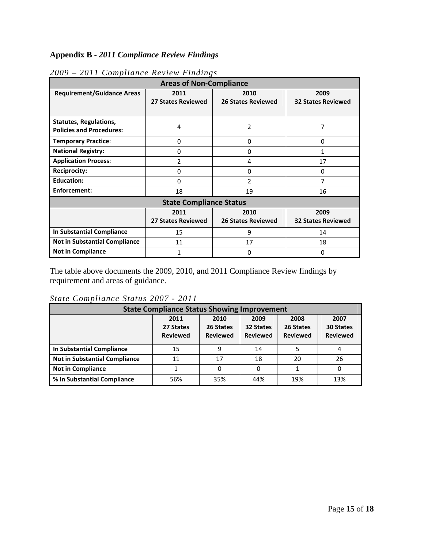# **Appendix B -** *2011 Compliance Review Findings*

| <b>Areas of Non-Compliance</b>                                   |                                   |                                   |                                   |  |  |  |
|------------------------------------------------------------------|-----------------------------------|-----------------------------------|-----------------------------------|--|--|--|
| <b>Requirement/Guidance Areas</b>                                | 2011<br><b>27 States Reviewed</b> | 2010<br><b>26 States Reviewed</b> | 2009<br><b>32 States Reviewed</b> |  |  |  |
|                                                                  |                                   |                                   |                                   |  |  |  |
| <b>Statutes, Regulations,</b><br><b>Policies and Procedures:</b> | 4                                 | $\overline{2}$                    | 7                                 |  |  |  |
| <b>Temporary Practice:</b>                                       | $\Omega$                          | 0                                 | $\Omega$                          |  |  |  |
| <b>National Registry:</b>                                        | 0                                 | 0                                 | 1                                 |  |  |  |
| <b>Application Process:</b>                                      | 2                                 | 4                                 | 17                                |  |  |  |
| <b>Reciprocity:</b>                                              | 0                                 | $\mathbf 0$                       | 0                                 |  |  |  |
| <b>Education:</b>                                                | 0                                 | $\overline{2}$                    | 7                                 |  |  |  |
| Enforcement:                                                     | 18<br>19                          |                                   | 16                                |  |  |  |
| <b>State Compliance Status</b>                                   |                                   |                                   |                                   |  |  |  |
|                                                                  | 2011                              | 2010                              | 2009                              |  |  |  |
|                                                                  | <b>27 States Reviewed</b>         | <b>26 States Reviewed</b>         | <b>32 States Reviewed</b>         |  |  |  |
| In Substantial Compliance                                        | 15                                | 9                                 | 14                                |  |  |  |
| <b>Not in Substantial Compliance</b>                             | 11                                | 17                                | 18                                |  |  |  |
| <b>Not in Compliance</b>                                         | 1                                 | 0                                 | 0                                 |  |  |  |

# *2009 – 2011 Compliance Review Findings*

The table above documents the 2009, 2010, and 2011 Compliance Review findings by requirement and areas of guidance.

# *State Compliance Status 2007 - 2011*

| <b>State Compliance Status Showing Improvement</b> |                                      |                                      |                                      |                                      |                                             |  |
|----------------------------------------------------|--------------------------------------|--------------------------------------|--------------------------------------|--------------------------------------|---------------------------------------------|--|
|                                                    | 2011<br>27 States<br><b>Reviewed</b> | 2010<br>26 States<br><b>Reviewed</b> | 2009<br>32 States<br><b>Reviewed</b> | 2008<br>26 States<br><b>Reviewed</b> | 2007<br><b>30 States</b><br><b>Reviewed</b> |  |
| In Substantial Compliance                          | 15                                   | q                                    | 14                                   |                                      |                                             |  |
| <b>Not in Substantial Compliance</b>               | 11                                   | 17                                   | 18                                   | 20                                   | 26                                          |  |
| <b>Not in Compliance</b>                           |                                      |                                      | 0                                    |                                      | 0                                           |  |
| % In Substantial Compliance                        | 56%                                  | 35%                                  | 44%                                  | 19%                                  | 13%                                         |  |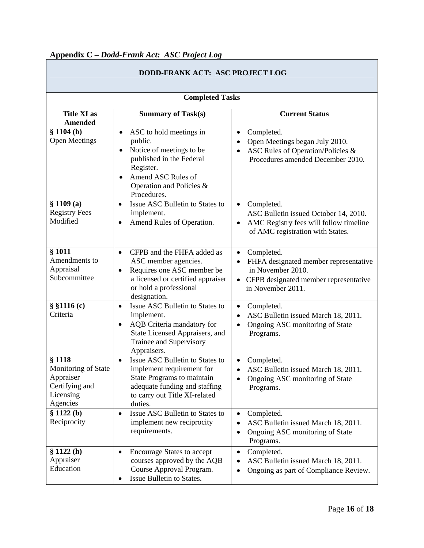# **Appendix C –** *Dodd-Frank Act: ASC Project Log*

| DODD-FRANK ACT: ASC PROJECT LOG                                                       |                                                                                                                                                                                                    |                                                                                                                                                                  |  |  |  |
|---------------------------------------------------------------------------------------|----------------------------------------------------------------------------------------------------------------------------------------------------------------------------------------------------|------------------------------------------------------------------------------------------------------------------------------------------------------------------|--|--|--|
| <b>Completed Tasks</b>                                                                |                                                                                                                                                                                                    |                                                                                                                                                                  |  |  |  |
| <b>Title XI as</b><br><b>Amended</b>                                                  | <b>Summary of Task(s)</b>                                                                                                                                                                          | <b>Current Status</b>                                                                                                                                            |  |  |  |
| \$1104(b)<br><b>Open Meetings</b>                                                     | ASC to hold meetings in<br>$\bullet$<br>public.<br>Notice of meetings to be<br>$\bullet$<br>published in the Federal<br>Register.<br>Amend ASC Rules of<br>Operation and Policies &<br>Procedures. | Completed.<br>$\bullet$<br>Open Meetings began July 2010.<br>$\bullet$<br>ASC Rules of Operation/Policies &<br>Procedures amended December 2010.                 |  |  |  |
| \$1109(a)<br><b>Registry Fees</b><br>Modified                                         | Issue ASC Bulletin to States to<br>$\bullet$<br>implement.<br>Amend Rules of Operation.                                                                                                            | Completed.<br>$\bullet$<br>ASC Bulletin issued October 14, 2010.<br>AMC Registry fees will follow timeline<br>$\bullet$<br>of AMC registration with States.      |  |  |  |
| § 1011<br>Amendments to<br>Appraisal<br>Subcommittee                                  | CFPB and the FHFA added as<br>$\bullet$<br>ASC member agencies.<br>Requires one ASC member be<br>a licensed or certified appraiser<br>or hold a professional<br>designation.                       | Completed.<br>$\bullet$<br>FHFA designated member representative<br>$\bullet$<br>in November 2010.<br>CFPB designated member representative<br>in November 2011. |  |  |  |
| $§$ §1116 $(c)$<br>Criteria                                                           | Issue ASC Bulletin to States to<br>$\bullet$<br>implement.<br>AQB Criteria mandatory for<br>$\bullet$<br>State Licensed Appraisers, and<br>Trainee and Supervisory<br>Appraisers.                  | Completed.<br>$\bullet$<br>ASC Bulletin issued March 18, 2011.<br>$\bullet$<br>Ongoing ASC monitoring of State<br>$\bullet$<br>Programs.                         |  |  |  |
| § 1118<br>Monitoring of State<br>Appraiser<br>Certifying and<br>Licensing<br>Agencies | Issue ASC Bulletin to States to<br>$\bullet$<br>implement requirement for<br>State Programs to maintain<br>adequate funding and staffing<br>to carry out Title XI-related<br>duties.               | Completed.<br>$\bullet$<br>ASC Bulletin issued March 18, 2011.<br>$\bullet$<br>Ongoing ASC monitoring of State<br>Programs.                                      |  |  |  |
| \$1122(b)<br>Reciprocity                                                              | Issue ASC Bulletin to States to<br>$\bullet$<br>implement new reciprocity<br>requirements.                                                                                                         | Completed.<br>$\bullet$<br>ASC Bulletin issued March 18, 2011.<br>$\bullet$<br>Ongoing ASC monitoring of State<br>٠<br>Programs.                                 |  |  |  |
| \$1122(h)<br>Appraiser<br>Education                                                   | <b>Encourage States to accept</b><br>$\bullet$<br>courses approved by the AQB<br>Course Approval Program.<br>Issue Bulletin to States.                                                             | Completed.<br>٠<br>ASC Bulletin issued March 18, 2011.<br>٠<br>Ongoing as part of Compliance Review.                                                             |  |  |  |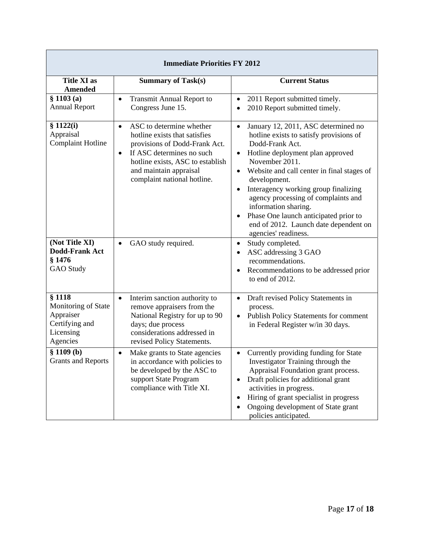| <b>Immediate Priorities FY 2012</b>                                                   |                                                                                                                                                                                                                                                |                                                                                                                                                                                                                                                                                                                                                                                                                                                                                                 |  |  |  |
|---------------------------------------------------------------------------------------|------------------------------------------------------------------------------------------------------------------------------------------------------------------------------------------------------------------------------------------------|-------------------------------------------------------------------------------------------------------------------------------------------------------------------------------------------------------------------------------------------------------------------------------------------------------------------------------------------------------------------------------------------------------------------------------------------------------------------------------------------------|--|--|--|
| <b>Title XI as</b><br>Amended                                                         | <b>Summary of Task(s)</b>                                                                                                                                                                                                                      | <b>Current Status</b>                                                                                                                                                                                                                                                                                                                                                                                                                                                                           |  |  |  |
| § 1103(a)<br><b>Annual Report</b>                                                     | <b>Transmit Annual Report to</b><br>$\bullet$<br>Congress June 15.                                                                                                                                                                             | 2011 Report submitted timely.<br>$\bullet$<br>2010 Report submitted timely.                                                                                                                                                                                                                                                                                                                                                                                                                     |  |  |  |
| \$1122(i)<br>Appraisal<br><b>Complaint Hotline</b>                                    | ASC to determine whether<br>$\bullet$<br>hotline exists that satisfies<br>provisions of Dodd-Frank Act.<br>If ASC determines no such<br>$\bullet$<br>hotline exists, ASC to establish<br>and maintain appraisal<br>complaint national hotline. | January 12, 2011, ASC determined no<br>$\bullet$<br>hotline exists to satisfy provisions of<br>Dodd-Frank Act.<br>Hotline deployment plan approved<br>٠<br>November 2011.<br>Website and call center in final stages of<br>$\bullet$<br>development.<br>Interagency working group finalizing<br>$\bullet$<br>agency processing of complaints and<br>information sharing.<br>Phase One launch anticipated prior to<br>$\bullet$<br>end of 2012. Launch date dependent on<br>agencies' readiness. |  |  |  |
| (Not Title XI)<br><b>Dodd-Frank Act</b><br>§ 1476<br><b>GAO</b> Study                 | GAO study required.<br>$\bullet$                                                                                                                                                                                                               | Study completed.<br>$\bullet$<br>ASC addressing 3 GAO<br>$\bullet$<br>recommendations.<br>Recommendations to be addressed prior<br>to end of 2012.                                                                                                                                                                                                                                                                                                                                              |  |  |  |
| \$1118<br>Monitoring of State<br>Appraiser<br>Certifying and<br>Licensing<br>Agencies | Interim sanction authority to<br>$\bullet$<br>remove appraisers from the<br>National Registry for up to 90<br>days; due process<br>considerations addressed in<br>revised Policy Statements.                                                   | Draft revised Policy Statements in<br>$\bullet$<br>process.<br>Publish Policy Statements for comment<br>$\bullet$<br>in Federal Register w/in 30 days.                                                                                                                                                                                                                                                                                                                                          |  |  |  |
| § 1109(b)<br><b>Grants and Reports</b>                                                | Make grants to State agencies<br>$\bullet$<br>in accordance with policies to<br>be developed by the ASC to<br>support State Program<br>compliance with Title XI.                                                                               | Currently providing funding for State<br>Investigator Training through the<br>Appraisal Foundation grant process.<br>Draft policies for additional grant<br>activities in progress.<br>Hiring of grant specialist in progress<br>Ongoing development of State grant<br>policies anticipated.                                                                                                                                                                                                    |  |  |  |